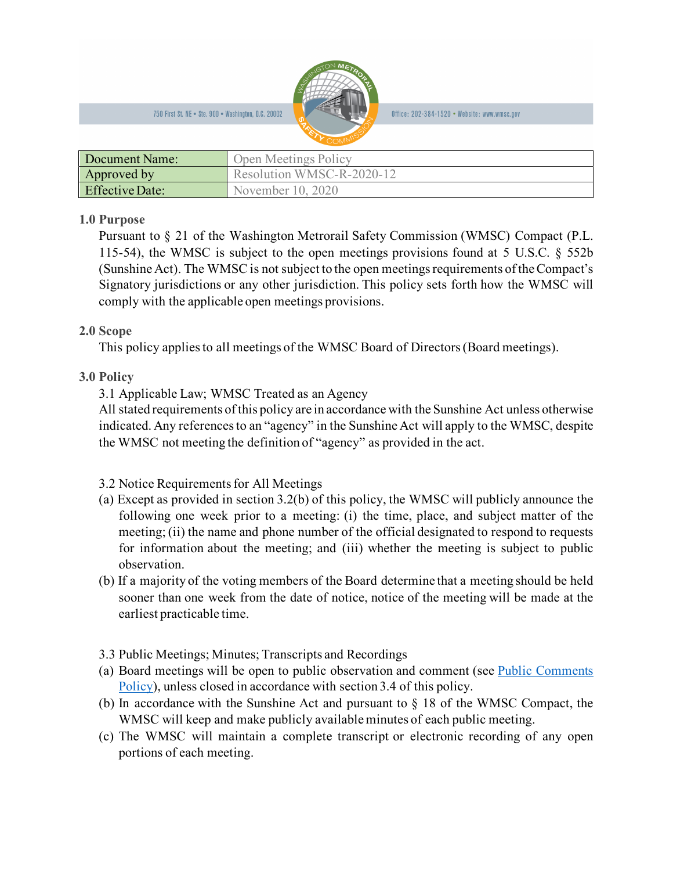

Office: 202-384-1520 • Website: www.wmsc.gov

| Document Name:         | Open Meetings Policy      |
|------------------------|---------------------------|
| Approved by            | Resolution WMSC-R-2020-12 |
| <b>Effective Date:</b> | November 10, 2020         |

## **1.0 Purpose**

Pursuant to § 21 of the Washington Metrorail Safety Commission (WMSC) Compact (P.L. 115-54), the WMSC is subject to the open meetings provisions found at 5 U.S.C. § 552b (Sunshine Act). The WMSC is not subject to the open meetings requirements of the Compact's Signatory jurisdictions or any other jurisdiction. This policy sets forth how the WMSC will comply with the applicable open meetings provisions.

## **2.0 Scope**

This policy applies to all meetings of the WMSC Board of Directors(Board meetings).

## **3.0 Policy**

3.1 Applicable Law; WMSC Treated as an Agency

All stated requirements of this policy are in accordance with the Sunshine Act unless otherwise indicated. Any references to an "agency" in the Sunshine Act will apply to the WMSC, despite the WMSC not meeting the definition of "agency" as provided in the act.

- 3.2 Notice Requirements for All Meetings
- (a) Except as provided in section 3.2(b) of this policy, the WMSC will publicly announce the following one week prior to a meeting: (i) the time, place, and subject matter of the meeting; (ii) the name and phone number of the official designated to respond to requests for information about the meeting; and (iii) whether the meeting is subject to public observation.
- (b) If a majority of the voting members of the Board determine that a meeting should be held sooner than one week from the date of notice, notice of the meeting will be made at the earliest practicable time.
- 3.3 Public Meetings; Minutes; Transcripts and Recordings
- (a) Board meetings will be open to public observation and comment (see [Public Comments](http://wmsc.gov/wp-content/uploads/2019/05/2019_04_08-WMSC-Public-Comment-Policy.pdf)  [Policy\)](http://wmsc.gov/wp-content/uploads/2019/05/2019_04_08-WMSC-Public-Comment-Policy.pdf), unless closed in accordance with section 3.4 of this policy.
- (b) In accordance with the Sunshine Act and pursuant to  $\S$  18 of the WMSC Compact, the WMSC will keep and make publicly available minutes of each public meeting.
- (c) The WMSC will maintain a complete transcript or electronic recording of any open portions of each meeting.